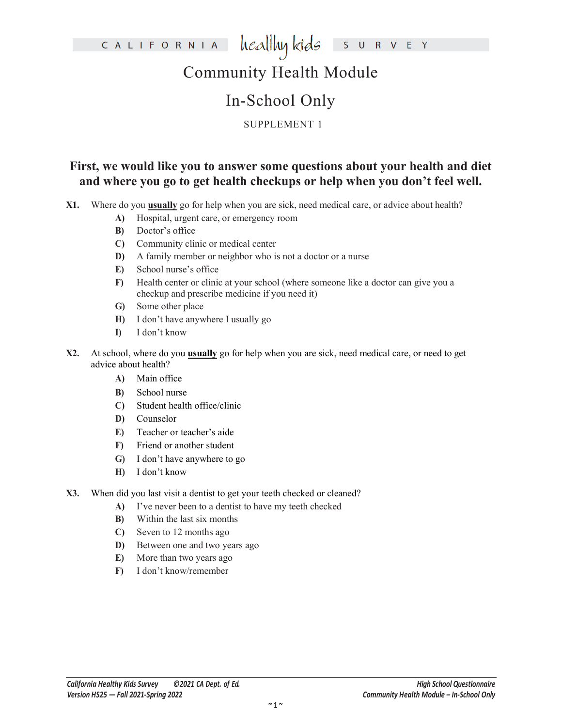# Community Health Module

### In-School Only

#### SUPPLEMENT 1

#### **First, we would like you to answer some questions about your health and diet and where you go to get health checkups or help when you don't feel well.**

**X1.** Where do you **usually** go for help when you are sick, need medical care, or advice about health?

- **A)** Hospital, urgent care, or emergency room
- **B)** Doctor's office
- **C)** Community clinic or medical center
- **D)** A family member or neighbor who is not a doctor or a nurse
- **E)** School nurse's office
- **F)** Health center or clinic at your school (where someone like a doctor can give you a checkup and prescribe medicine if you need it)
- **G)** Some other place
- **H)** I don't have anywhere I usually go
- **I)** I don't know
- **X2.** At school, where do you **usually** go for help when you are sick, need medical care, or need to get advice about health?
	- **A)** Main office
	- **B)** School nurse
	- **C)** Student health office/clinic
	- **D)** Counselor
	- **E)** Teacher or teacher's aide
	- **F)** Friend or another student
	- **G)** I don't have anywhere to go
	- **H)** I don't know
- **X3.** When did you last visit a dentist to get your teeth checked or cleaned?
	- **A)** I've never been to a dentist to have my teeth checked
	- **B)** Within the last six months
	- **C)** Seven to 12 months ago
	- **D)** Between one and two years ago
	- **E)** More than two years ago
	- **F)** I don't know/remember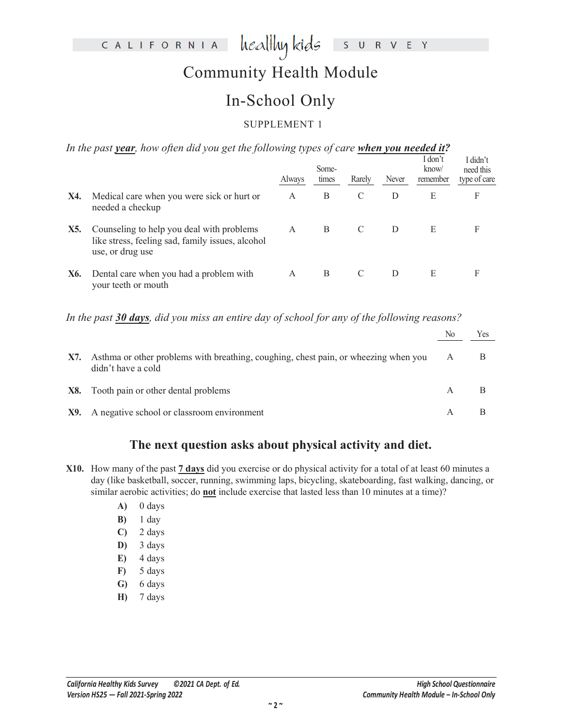# Community Health Module

### In-School Only

#### SUPPLEMENT 1

*In the past year, how often did you get the following types of care when you needed it?*

|     |                                                                                                                   | Always | Some-<br>times | Rarely | Never | I don't<br>know/<br>remember | I didn't<br>need this<br>type of care |
|-----|-------------------------------------------------------------------------------------------------------------------|--------|----------------|--------|-------|------------------------------|---------------------------------------|
| X4. | Medical care when you were sick or hurt or<br>needed a checkup                                                    | A      | В              | C      | D     | E                            | F                                     |
| X5. | Counseling to help you deal with problems<br>like stress, feeling sad, family issues, alcohol<br>use, or drug use | A      | B              | C      | D     | E                            | F                                     |
| X6. | Dental care when you had a problem with<br>your teeth or mouth                                                    | A      | B              | C      | D     | E                            | F                                     |

*In the past 30 days, did you miss an entire day of school for any of the following reasons?*

|     |                                                                                                           | No | Yes |
|-----|-----------------------------------------------------------------------------------------------------------|----|-----|
| X7. | Asthma or other problems with breathing, coughing, chest pain, or wheezing when you<br>didn't have a cold | A  |     |
|     | X8. Tooth pain or other dental problems                                                                   |    |     |
|     | X9. A negative school or classroom environment                                                            |    |     |

#### **The next question asks about physical activity and diet.**

**X10.** How many of the past **7 days** did you exercise or do physical activity for a total of at least 60 minutes a day (like basketball, soccer, running, swimming laps, bicycling, skateboarding, fast walking, dancing, or similar aerobic activities; do **not** include exercise that lasted less than 10 minutes at a time)?

- **A)** 0 days
- **B)** 1 day
- **C)** 2 days
- **D)** 3 days
- **E)** 4 days
- **F)** 5 days
- **G)** 6 days
- **H)** 7 days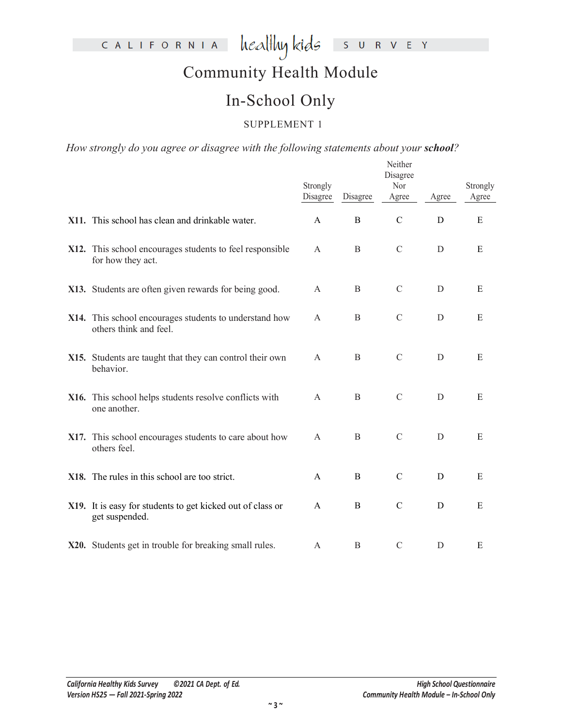# Community Health Module

### In-School Only

#### SUPPLEMENT 1

How strongly do you agree or disagree with the following statements about your **school**?

|                                                                                  | Strongly<br>Disagree | Disagree         | Neither<br>Disagree<br>Nor<br>Agree | Agree | Strongly<br>Agree |
|----------------------------------------------------------------------------------|----------------------|------------------|-------------------------------------|-------|-------------------|
| X11. This school has clean and drinkable water.                                  | $\mathsf{A}$         | B                | $\mathcal{C}$                       | D     | E                 |
| X12. This school encourages students to feel responsible<br>for how they act.    | A                    | B                | $\mathcal{C}$                       | D     | E                 |
| X13. Students are often given rewards for being good.                            | A                    | $\boldsymbol{B}$ | $\mathcal{C}$                       | D     | E                 |
| X14. This school encourages students to understand how<br>others think and feel. | A                    | B                | $\mathbf C$                         | D     | ${\bf E}$         |
| X15. Students are taught that they can control their own<br>behavior.            | A                    | B                | $\mathcal{C}$                       | D     | E                 |
| X16. This school helps students resolve conflicts with<br>one another.           | A                    | B                | $\mathcal{C}$                       | D     | E                 |
| X17. This school encourages students to care about how<br>others feel.           | $\mathbf{A}$         | $\, {\bf B}$     | $\mathcal{C}$                       | D     | E                 |
| X18. The rules in this school are too strict.                                    | A                    | B                | $\mathcal{C}$                       | D     | E                 |
| X19. It is easy for students to get kicked out of class or<br>get suspended.     | $\mathbf{A}$         | $\, {\bf B}$     | $\mathcal{C}$                       | D     | ${\bf E}$         |
| X20. Students get in trouble for breaking small rules.                           | A                    | $\boldsymbol{B}$ | $\mathcal{C}$                       | D     | E                 |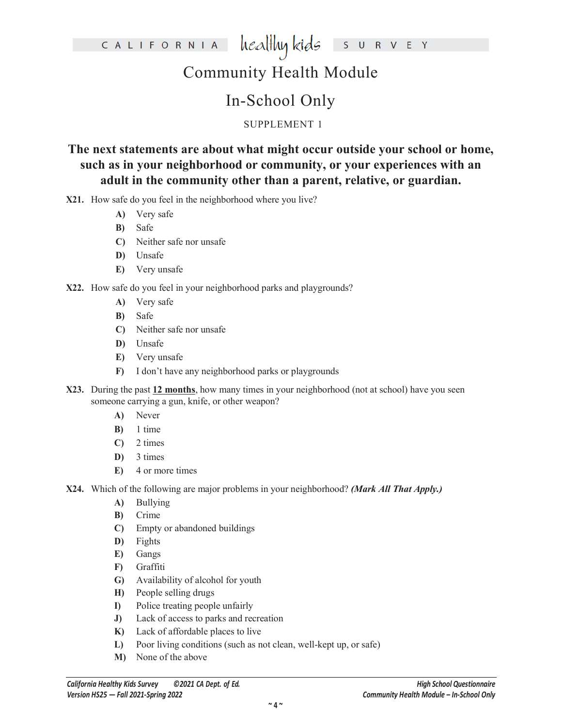# Community Health Module

### In-School Only

#### SUPPLEMENT 1

**The next statements are about what might occur outside your school or home, such as in your neighborhood or community, or your experiences with an adult in the community other than a parent, relative, or guardian.**

**X21.** How safe do you feel in the neighborhood where you live?

- **A)** Very safe
- **B)** Safe
- **C)** Neither safe nor unsafe
- **D)** Unsafe
- **E)** Very unsafe
- **X22.** How safe do you feel in your neighborhood parks and playgrounds?
	- **A)** Very safe
	- **B)** Safe
	- **C)** Neither safe nor unsafe
	- **D)** Unsafe
	- **E)** Very unsafe
	- **F)** I don't have any neighborhood parks or playgrounds
- **X23.** During the past **12 months**, how many times in your neighborhood (not at school) have you seen someone carrying a gun, knife, or other weapon?
	- **A)** Never
	- **B)** 1 time
	- **C)** 2 times
	- **D)** 3 times
	- **E)** 4 or more times
- **X24.** Which of the following are major problems in your neighborhood? *(Mark All That Apply.)*
	- **A)** Bullying
	- **B)** Crime
	- **C)** Empty or abandoned buildings
	- **D)** Fights
	- **E)** Gangs
	- **F)** Graffiti
	- **G)** Availability of alcohol for youth
	- **H)** People selling drugs
	- **I)** Police treating people unfairly
	- **J)** Lack of access to parks and recreation
	- **K)** Lack of affordable places to live
	- **L)** Poor living conditions (such as not clean, well-kept up, or safe)
	- **M)** None of the above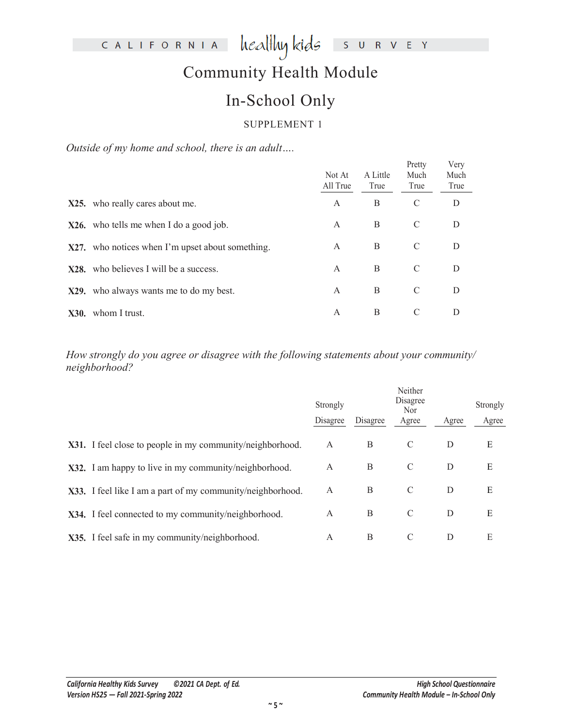# Community Health Module

### In-School Only

#### SUPPLEMENT 1

*Outside of my home and school, there is an adult….*

|      |                                                  | Not At<br>All True | A Little<br>True | Pretty<br>Much<br>True | Very<br>Much<br>True |
|------|--------------------------------------------------|--------------------|------------------|------------------------|----------------------|
|      | X25. who really cares about me.                  | A                  | B                | C                      | D                    |
|      | $X26$ , who tells me when I do a good job.       | A                  | B                | C                      | D                    |
|      | X27. who notices when I'm upset about something. | A                  | B                | C                      | D                    |
|      | X28. who believes I will be a success.           | $\mathsf{A}$       | B                | C                      | D                    |
|      | X29. who always wants me to do my best.          | $\overline{A}$     | B                | C                      | D                    |
| X30. | whom I trust.                                    | A                  | B                | C                      | D                    |

*How strongly do you agree or disagree with the following statements about your community/ neighborhood?*

|                                                            | Strongly<br>Disagree | Disagree | Neither<br>Disagree<br><b>Nor</b><br>Agree | Agree | Strongly<br>Agree |
|------------------------------------------------------------|----------------------|----------|--------------------------------------------|-------|-------------------|
| X31. I feel close to people in my community/neighborhood.  | A                    | B        | C                                          | D     | Ε                 |
| X32. I am happy to live in my community/neighborhood.      | A                    | B        | C                                          | D     | Ε                 |
| X33. I feel like I am a part of my community/neighborhood. | A                    | B        | C                                          | D     | Ε                 |
| X34. I feel connected to my community/neighborhood.        | A                    | B        | C                                          | D     | E                 |
| X35. I feel safe in my community/neighborhood.             | A                    | B        | C                                          | D     | Е                 |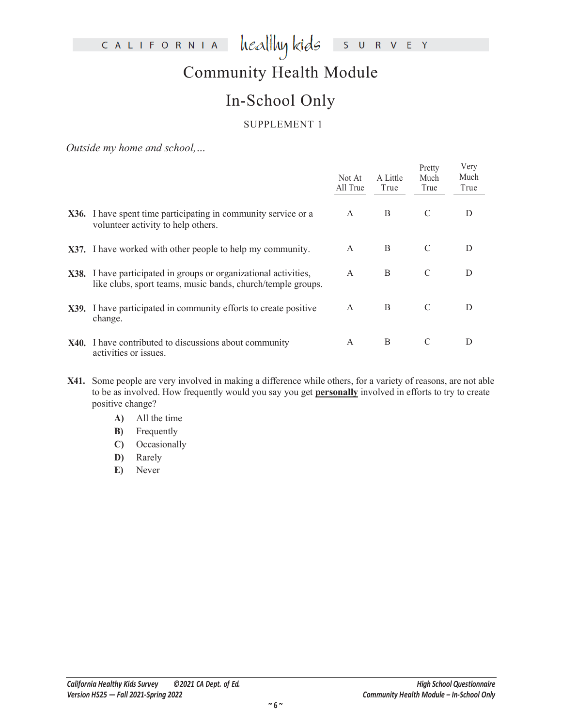# Community Health Module

# In-School Only

#### SUPPLEMENT 1

*Outside my home and school,…*

|                                                                                                                                 | Not At<br>All True | A Little<br>True | Pretty<br>Much<br>True | Very<br>Much<br>True |
|---------------------------------------------------------------------------------------------------------------------------------|--------------------|------------------|------------------------|----------------------|
| X36. I have spent time participating in community service or a<br>volunteer activity to help others.                            | A                  | B                | C                      | D                    |
| X37. I have worked with other people to help my community.                                                                      | A                  | B                | C                      | D                    |
| X38. I have participated in groups or organizational activities,<br>like clubs, sport teams, music bands, church/temple groups. | $\mathsf{A}$       | B                | C                      | D                    |
| X39. I have participated in community efforts to create positive<br>change.                                                     | A                  | B                | C                      | D                    |
| <b>X40.</b> I have contributed to discussions about community<br>activities or issues.                                          | A                  | B                | C                      | D                    |

- **X41.** Some people are very involved in making a difference while others, for a variety of reasons, are not able to be as involved. How frequently would you say you get **personally** involved in efforts to try to create positive change?
	- **A)** All the time
	- **B)** Frequently
	- **C)** Occasionally
	- **D)** Rarely
	- **E)** Never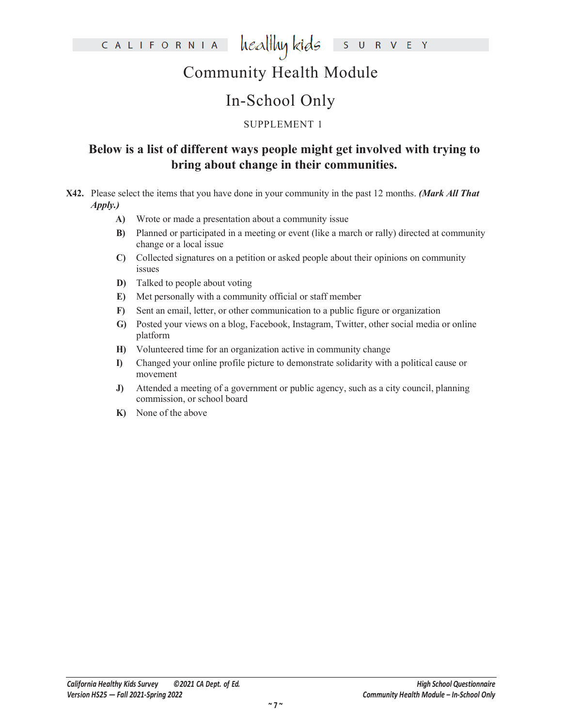# Community Health Module

# In-School Only

#### SUPPLEMENT 1

#### **Below is a list of different ways people might get involved with trying to bring about change in their communities.**

- **X42.** Please select the items that you have done in your community in the past 12 months. *(Mark All That Apply.)*
	- **A)** Wrote or made a presentation about a community issue
	- **B)** Planned or participated in a meeting or event (like a march or rally) directed at community change or a local issue
	- **C)** Collected signatures on a petition or asked people about their opinions on community issues
	- **D)** Talked to people about voting
	- **E)** Met personally with a community official or staff member
	- **F)** Sent an email, letter, or other communication to a public figure or organization
	- **G)** Posted your views on a blog, Facebook, Instagram, Twitter, other social media or online platform
	- **H)** Volunteered time for an organization active in community change
	- **I)** Changed your online profile picture to demonstrate solidarity with a political cause or movement
	- **J)** Attended a meeting of a government or public agency, such as a city council, planning commission, or school board
	- **K)** None of the above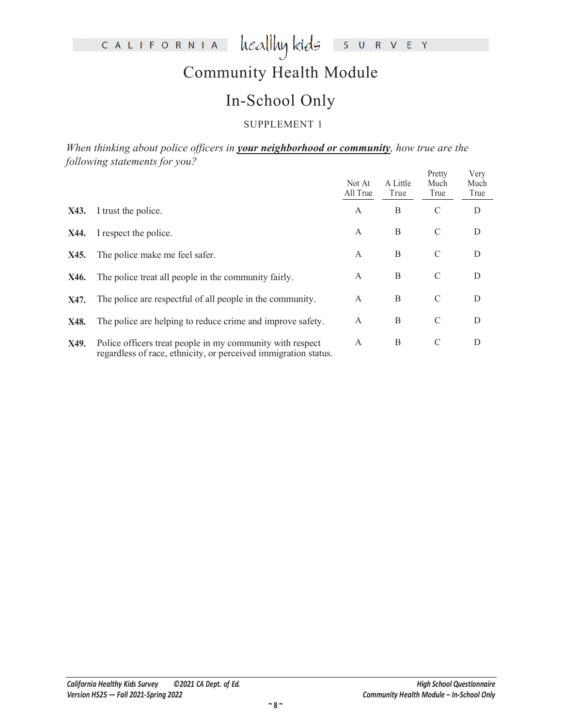# Community Health Module

### In-School Only

#### SUPPLEMENT 1

*When thinking about police officers in your neighborhood or community, how true are the following statements for you?* Pretty

|      | $\circ$                                                                                                                      | Not At<br>All True | A Little<br>True | Pretty<br>Much<br>True | Very<br>Much<br>True |
|------|------------------------------------------------------------------------------------------------------------------------------|--------------------|------------------|------------------------|----------------------|
| X43. | I trust the police.                                                                                                          | A                  | B                | $\mathcal{C}$          | D                    |
| X44. | I respect the police.                                                                                                        | A                  | B                | C                      | D                    |
| X45. | The police make me feel safer.                                                                                               | A                  | B                | C                      | D                    |
| X46. | The police treat all people in the community fairly.                                                                         | A                  | B                | C                      | D                    |
| X47. | The police are respectful of all people in the community.                                                                    | A                  | B                | C                      | D                    |
| X48. | The police are helping to reduce crime and improve safety.                                                                   | A                  | B                | $\mathcal{C}$          | D                    |
| X49. | Police officers treat people in my community with respect<br>regardless of race, ethnicity, or perceived immigration status. | A                  | B                | $\mathcal{C}$          | D                    |